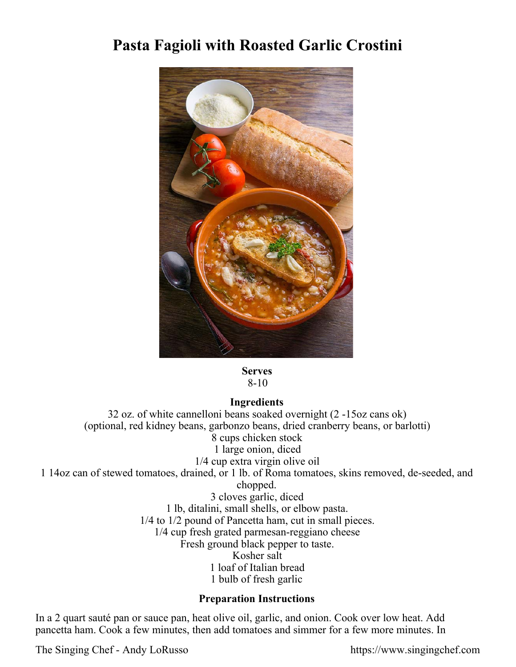## **Pasta Fagioli with Roasted Garlic Crostini**



## **Serves** 8-10

## **Ingredients**

32 oz. of white cannelloni beans soaked overnight (2 -15oz cans ok) (optional, red kidney beans, garbonzo beans, dried cranberry beans, or barlotti) 8 cups chicken stock 1 large onion, diced 1/4 cup extra virgin olive oil 1 14oz can of stewed tomatoes, drained, or 1 lb. of Roma tomatoes, skins removed, de-seeded, and chopped. 3 cloves garlic, diced 1 lb, ditalini, small shells, or elbow pasta. 1/4 to 1/2 pound of Pancetta ham, cut in small pieces. 1/4 cup fresh grated parmesan-reggiano cheese Fresh ground black pepper to taste. Kosher salt 1 loaf of Italian bread 1 bulb of fresh garlic

## **Preparation Instructions**

In a 2 quart sauté pan or sauce pan, heat olive oil, garlic, and onion. Cook over low heat. Add pancetta ham. Cook a few minutes, then add tomatoes and simmer for a few more minutes. In

The Singing Chef - Andy LoRusso https://www.singingchef.com